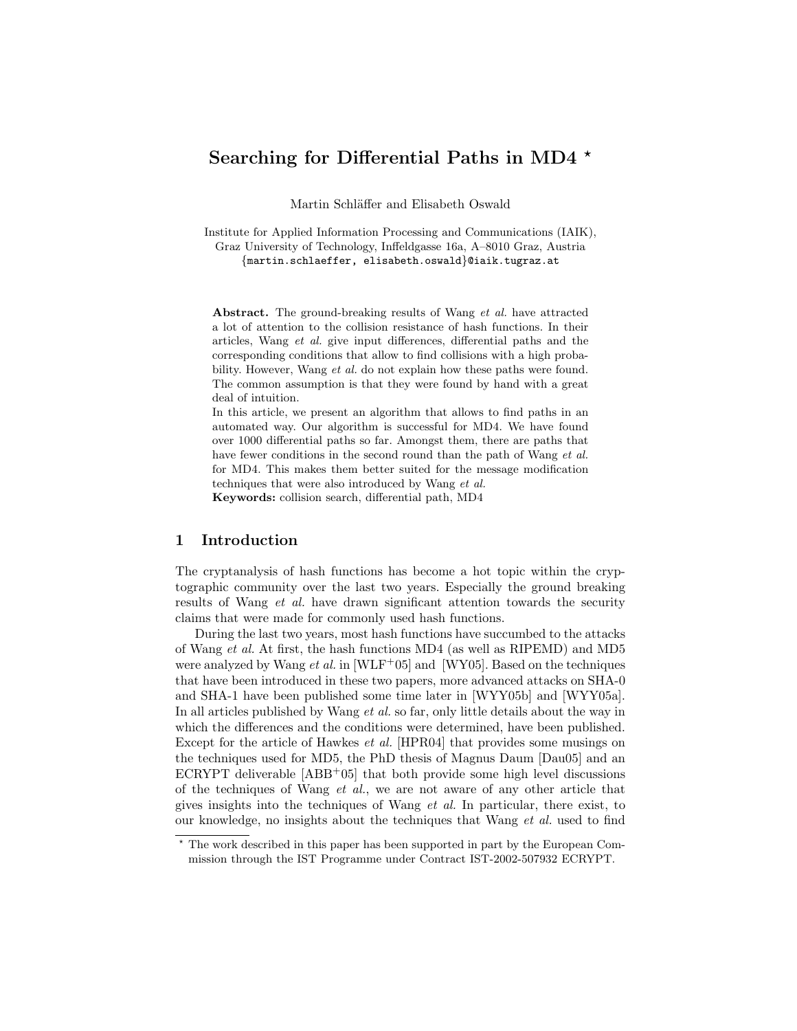# Searching for Differential Paths in MD4  $\star$

Martin Schläffer and Elisabeth Oswald

Institute for Applied Information Processing and Communications (IAIK), Graz University of Technology, Inffeldgasse 16a, A–8010 Graz, Austria {martin.schlaeffer, elisabeth.oswald}@iaik.tugraz.at

Abstract. The ground-breaking results of Wang *et al.* have attracted a lot of attention to the collision resistance of hash functions. In their articles, Wang et al. give input differences, differential paths and the corresponding conditions that allow to find collisions with a high probability. However, Wang et al. do not explain how these paths were found. The common assumption is that they were found by hand with a great deal of intuition.

In this article, we present an algorithm that allows to find paths in an automated way. Our algorithm is successful for MD4. We have found over 1000 differential paths so far. Amongst them, there are paths that have fewer conditions in the second round than the path of Wang et al. for MD4. This makes them better suited for the message modification techniques that were also introduced by Wang et al.

Keywords: collision search, differential path, MD4

# 1 Introduction

The cryptanalysis of hash functions has become a hot topic within the cryptographic community over the last two years. Especially the ground breaking results of Wang *et al.* have drawn significant attention towards the security claims that were made for commonly used hash functions.

During the last two years, most hash functions have succumbed to the attacks of Wang et al. At first, the hash functions MD4 (as well as RIPEMD) and MD5 were analyzed by Wang *et al.* in [WLF<sup>+</sup>05] and [WY05]. Based on the techniques that have been introduced in these two papers, more advanced attacks on SHA-0 and SHA-1 have been published some time later in [WYY05b] and [WYY05a]. In all articles published by Wang *et al.* so far, only little details about the way in which the differences and the conditions were determined, have been published. Except for the article of Hawkes et al. [HPR04] that provides some musings on the techniques used for MD5, the PhD thesis of Magnus Daum [Dau05] and an ECRYPT deliverable  $[ABB<sup>+</sup>05]$  that both provide some high level discussions of the techniques of Wang *et al.*, we are not aware of any other article that gives insights into the techniques of Wang et al. In particular, there exist, to our knowledge, no insights about the techniques that Wang et al. used to find

<sup>?</sup> The work described in this paper has been supported in part by the European Commission through the IST Programme under Contract IST-2002-507932 ECRYPT.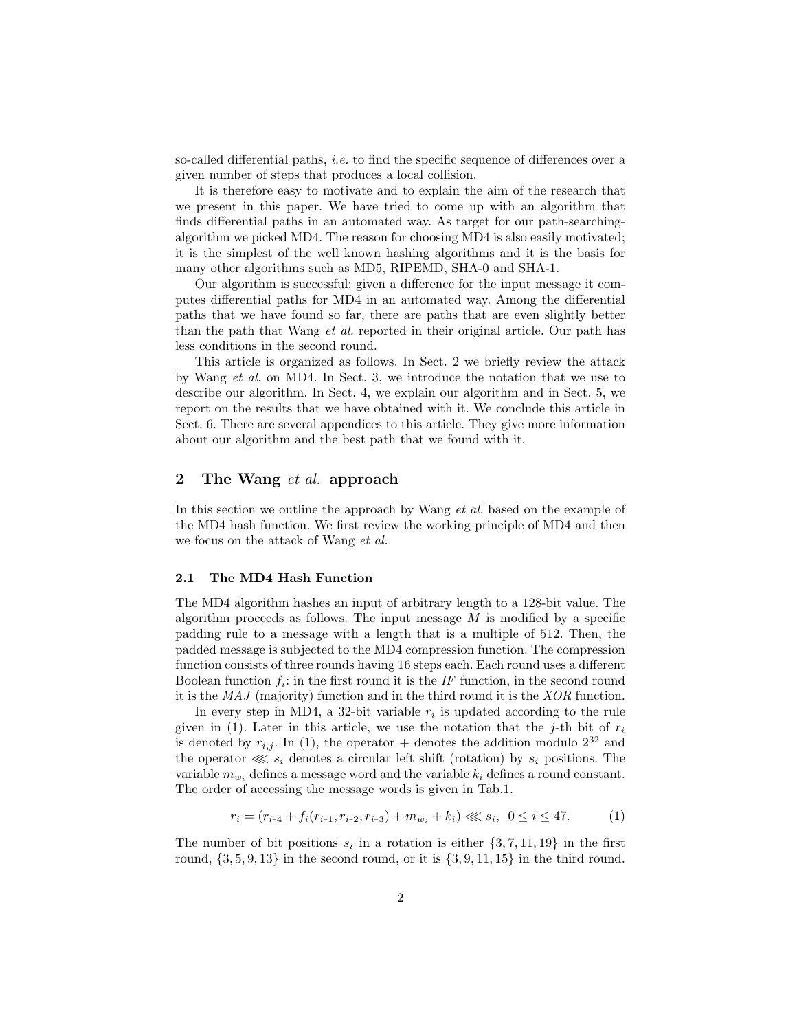so-called differential paths, i.e. to find the specific sequence of differences over a given number of steps that produces a local collision.

It is therefore easy to motivate and to explain the aim of the research that we present in this paper. We have tried to come up with an algorithm that finds differential paths in an automated way. As target for our path-searchingalgorithm we picked MD4. The reason for choosing MD4 is also easily motivated; it is the simplest of the well known hashing algorithms and it is the basis for many other algorithms such as MD5, RIPEMD, SHA-0 and SHA-1.

Our algorithm is successful: given a difference for the input message it computes differential paths for MD4 in an automated way. Among the differential paths that we have found so far, there are paths that are even slightly better than the path that Wang et al. reported in their original article. Our path has less conditions in the second round.

This article is organized as follows. In Sect. 2 we briefly review the attack by Wang et al. on MD4. In Sect. 3, we introduce the notation that we use to describe our algorithm. In Sect. 4, we explain our algorithm and in Sect. 5, we report on the results that we have obtained with it. We conclude this article in Sect. 6. There are several appendices to this article. They give more information about our algorithm and the best path that we found with it.

### 2 The Wang *et al.* approach

In this section we outline the approach by Wang et al. based on the example of the MD4 hash function. We first review the working principle of MD4 and then we focus on the attack of Wang et al.

#### 2.1 The MD4 Hash Function

The MD4 algorithm hashes an input of arbitrary length to a 128-bit value. The algorithm proceeds as follows. The input message  $M$  is modified by a specific padding rule to a message with a length that is a multiple of 512. Then, the padded message is subjected to the MD4 compression function. The compression function consists of three rounds having 16 steps each. Each round uses a different Boolean function  $f_i$ : in the first round it is the IF function, in the second round it is the MAJ (majority) function and in the third round it is the XOR function.

In every step in MD4, a 32-bit variable  $r_i$  is updated according to the rule given in (1). Later in this article, we use the notation that the j-th bit of  $r_i$ is denoted by  $r_{i,j}$ . In (1), the operator + denotes the addition modulo  $2^{32}$  and the operator  $\lll s_i$  denotes a circular left shift (rotation) by  $s_i$  positions. The variable  $m_{w_i}$  defines a message word and the variable  $k_i$  defines a round constant. The order of accessing the message words is given in Tab.1.

$$
r_i = (r_{i-4} + f_i(r_{i-1}, r_{i-2}, r_{i-3}) + m_{w_i} + k_i) \ll s_i, \ 0 \le i \le 47. \tag{1}
$$

The number of bit positions  $s_i$  in a rotation is either  $\{3, 7, 11, 19\}$  in the first round,  $\{3, 5, 9, 13\}$  in the second round, or it is  $\{3, 9, 11, 15\}$  in the third round.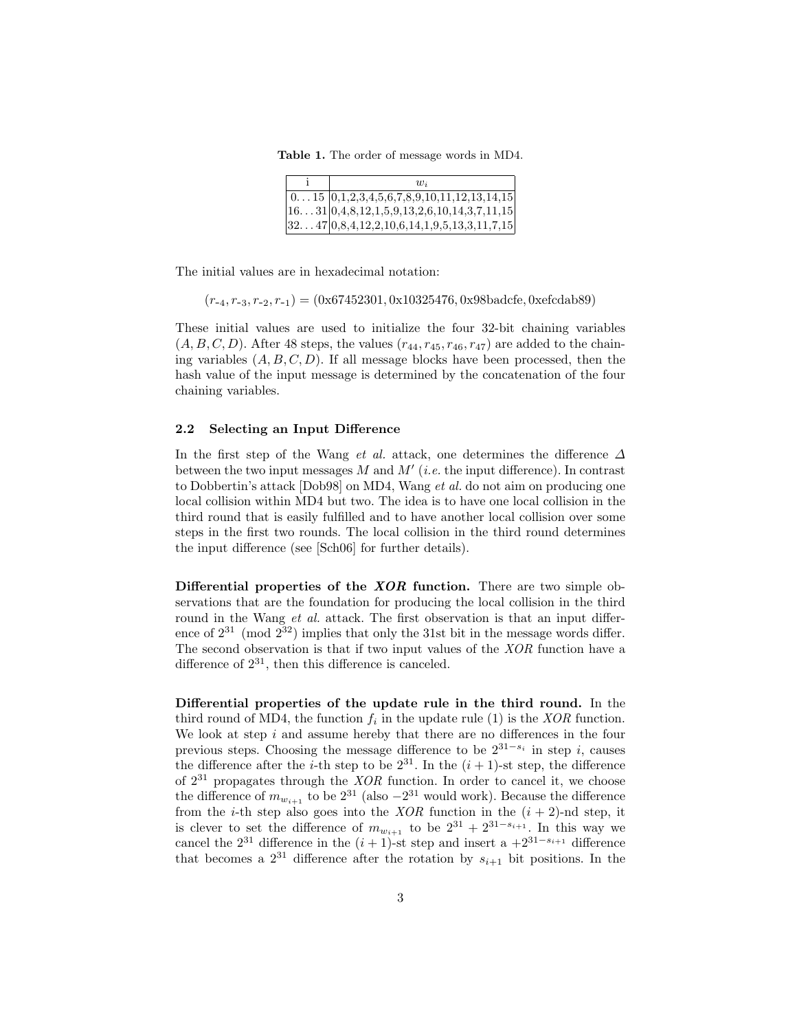Table 1. The order of message words in MD4.

| $\overline{w}$                                            |
|-----------------------------------------------------------|
| $\vert$ 015 $\vert$ 0,1,2,3,4,5,6,7,8,9,10,11,12,13,14,15 |
| $1631 0,4,8,12,1,5,9,13,2,6,10,14,3,7,11,15$              |
| $ 3247 0,8,4,12,2,10,6,14,1,9,5,13,3,11,7,15 $            |

The initial values are in hexadecimal notation:

 $(r_{-4}, r_{-3}, r_{-2}, r_{-1}) = (0x67452301, 0x10325476, 0x98badcfe, 0xefcdab89)$ 

These initial values are used to initialize the four 32-bit chaining variables  $(A, B, C, D)$ . After 48 steps, the values  $(r_{44}, r_{45}, r_{46}, r_{47})$  are added to the chaining variables  $(A, B, C, D)$ . If all message blocks have been processed, then the hash value of the input message is determined by the concatenation of the four chaining variables.

#### 2.2 Selecting an Input Difference

In the first step of the Wang et al. attack, one determines the difference  $\Delta$ between the two input messages M and  $M'$  (*i.e.* the input difference). In contrast to Dobbertin's attack [Dob98] on MD4, Wang et al. do not aim on producing one local collision within MD4 but two. The idea is to have one local collision in the third round that is easily fulfilled and to have another local collision over some steps in the first two rounds. The local collision in the third round determines the input difference (see [Sch06] for further details).

Differential properties of the XOR function. There are two simple observations that are the foundation for producing the local collision in the third round in the Wang *et al.* attack. The first observation is that an input difference of  $2^{31}$  (mod  $2^{32}$ ) implies that only the 31st bit in the message words differ. The second observation is that if two input values of the XOR function have a difference of  $2^{31}$ , then this difference is canceled.

Differential properties of the update rule in the third round. In the third round of MD4, the function  $f_i$  in the update rule (1) is the *XOR* function. We look at step  $i$  and assume hereby that there are no differences in the four previous steps. Choosing the message difference to be  $2^{31-s_i}$  in step i, causes the difference after the *i*-th step to be  $2^{31}$ . In the  $(i + 1)$ -st step, the difference of  $2^{31}$  propagates through the XOR function. In order to cancel it, we choose the difference of  $m_{w_{i+1}}$  to be  $2^{31}$  (also  $-2^{31}$  would work). Because the difference from the *i*-th step also goes into the *XOR* function in the  $(i + 2)$ -nd step, it is clever to set the difference of  $m_{w_{i+1}}$  to be  $2^{31} + 2^{31-s_{i+1}}$ . In this way we cancel the  $2^{31}$  difference in the  $(i + 1)$ -st step and insert a  $+2^{31-s_{i+1}}$  difference that becomes a  $2^{31}$  difference after the rotation by  $s_{i+1}$  bit positions. In the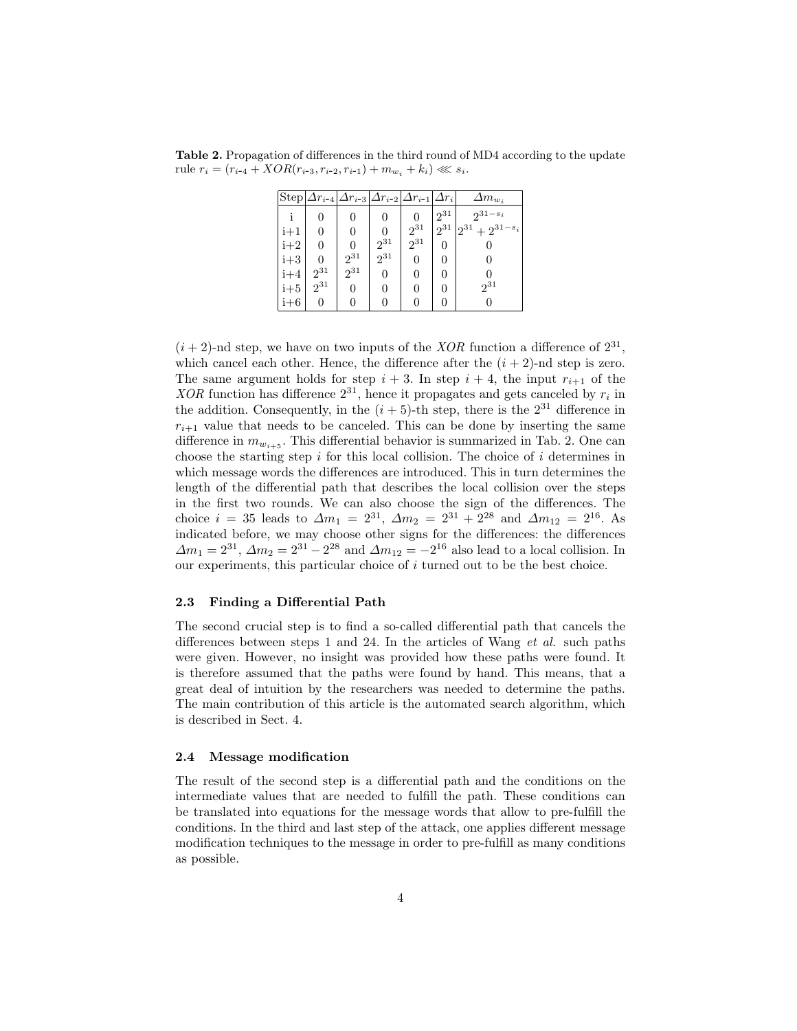Table 2. Propagation of differences in the third round of MD4 according to the update rule  $r_i = (r_{i-4} + XOR(r_{i-3}, r_{i-2}, r_{i-1}) + m_{w_i} + k_i) \ll s_i.$ 

|       | $\text{Step} \Delta r_{i-4} \Delta r_{i-3} \Delta r_{i-2} \Delta r_{i-1} $ |          |          |          | $\Delta r_i$ | $\Delta m_{w_i}$    |
|-------|----------------------------------------------------------------------------|----------|----------|----------|--------------|---------------------|
|       | 0                                                                          | 0        | 0        |          | $12^{31}$    | $2^{31-s_i}$        |
| i+1   | 0                                                                          | 0        | 0        | $2^{31}$ | $2^{31}$     | $2^{31}+2^{31-s_i}$ |
| $i+2$ | 0                                                                          | 0        | $2^{31}$ | $2^{31}$ | 0            |                     |
| $i+3$ | 0                                                                          | $2^{31}$ | $2^{31}$ | 0        | $\theta$     |                     |
| $i+4$ | $2^{31}$                                                                   | $2^{31}$ | 0        | 0        | 0            |                     |
| $i+5$ | $2^{31}$                                                                   | 0        | 0        | 0        | $\theta$     | $2^{31}$            |
| $i+6$ |                                                                            |          |          |          |              | 0                   |

 $(i+2)$ -nd step, we have on two inputs of the XOR function a difference of  $2^{31}$ , which cancel each other. Hence, the difference after the  $(i + 2)$ -nd step is zero. The same argument holds for step  $i + 3$ . In step  $i + 4$ , the input  $r_{i+1}$  of the  $XOR$  function has difference  $2^{31}$ , hence it propagates and gets canceled by  $r_i$  in the addition. Consequently, in the  $(i + 5)$ -th step, there is the  $2^{31}$  difference in  $r_{i+1}$  value that needs to be canceled. This can be done by inserting the same difference in  $m_{w_{i+5}}$ . This differential behavior is summarized in Tab. 2. One can choose the starting step i for this local collision. The choice of i determines in which message words the differences are introduced. This in turn determines the length of the differential path that describes the local collision over the steps in the first two rounds. We can also choose the sign of the differences. The choice  $i = 35$  leads to  $\Delta m_1 = 2^{31}$ ,  $\Delta m_2 = 2^{31} + 2^{28}$  and  $\Delta m_{12} = 2^{16}$ . As indicated before, we may choose other signs for the differences: the differences  $\Delta m_1 = 2^{31}, \Delta m_2 = 2^{31} - 2^{28}$  and  $\Delta m_{12} = -2^{16}$  also lead to a local collision. In our experiments, this particular choice of  $i$  turned out to be the best choice.

#### 2.3 Finding a Differential Path

The second crucial step is to find a so-called differential path that cancels the differences between steps 1 and 24. In the articles of Wang et al. such paths were given. However, no insight was provided how these paths were found. It is therefore assumed that the paths were found by hand. This means, that a great deal of intuition by the researchers was needed to determine the paths. The main contribution of this article is the automated search algorithm, which is described in Sect. 4.

#### 2.4 Message modification

The result of the second step is a differential path and the conditions on the intermediate values that are needed to fulfill the path. These conditions can be translated into equations for the message words that allow to pre-fulfill the conditions. In the third and last step of the attack, one applies different message modification techniques to the message in order to pre-fulfill as many conditions as possible.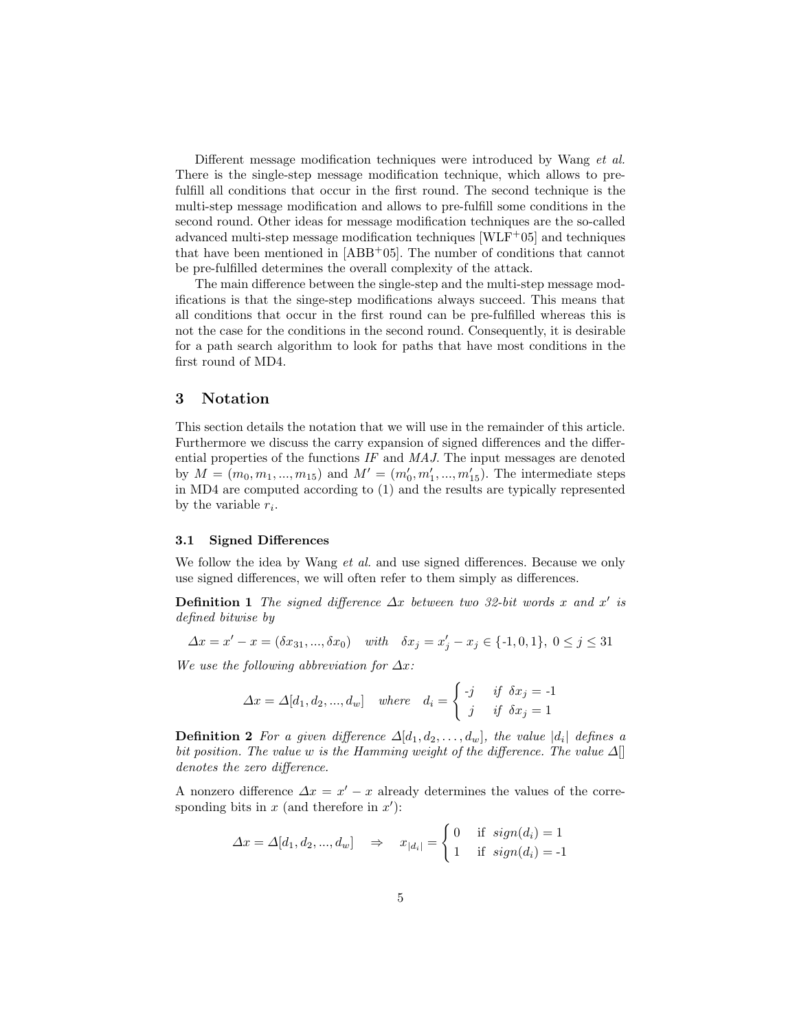Different message modification techniques were introduced by Wang et al. There is the single-step message modification technique, which allows to prefulfill all conditions that occur in the first round. The second technique is the multi-step message modification and allows to pre-fulfill some conditions in the second round. Other ideas for message modification techniques are the so-called advanced multi-step message modification techniques  $[WEF+05]$  and techniques that have been mentioned in  $[ABB<sup>+</sup>05]$ . The number of conditions that cannot be pre-fulfilled determines the overall complexity of the attack.

The main difference between the single-step and the multi-step message modifications is that the singe-step modifications always succeed. This means that all conditions that occur in the first round can be pre-fulfilled whereas this is not the case for the conditions in the second round. Consequently, it is desirable for a path search algorithm to look for paths that have most conditions in the first round of MD4.

### 3 Notation

This section details the notation that we will use in the remainder of this article. Furthermore we discuss the carry expansion of signed differences and the differential properties of the functions  $IF$  and  $MAJ$ . The input messages are denoted by  $M = (m_0, m_1, ..., m_{15})$  and  $M' = (m'_0, m'_1, ..., m'_{15})$ . The intermediate steps in MD4 are computed according to (1) and the results are typically represented by the variable  $r_i$ .

#### 3.1 Signed Differences

We follow the idea by Wang *et al.* and use signed differences. Because we only use signed differences, we will often refer to them simply as differences.

**Definition 1** The signed difference  $\Delta x$  between two 32-bit words x and x' is defined bitwise by

$$
\Delta x = x' - x = (\delta x_{31}, ..., \delta x_0) \quad \text{with} \quad \delta x_j = x'_j - x_j \in \{ -1, 0, 1 \}, \ 0 \le j \le 31
$$

We use the following abbreviation for  $\Delta x$ :

$$
\Delta x = \Delta [d_1, d_2, ..., d_w] \quad where \quad d_i = \begin{cases} -j & \text{if } \delta x_j = -1 \\ j & \text{if } \delta x_j = 1 \end{cases}
$$

**Definition 2** For a given difference  $\Delta[d_1, d_2, \ldots, d_w]$ , the value  $|d_i|$  defines a bit position. The value w is the Hamming weight of the difference. The value  $\Delta$ [] denotes the zero difference.

A nonzero difference  $\Delta x = x' - x$  already determines the values of the corresponding bits in  $x$  (and therefore in  $x'$ ):

$$
\varDelta x = \varDelta[d_1, d_2, ..., d_w] \quad \Rightarrow \quad x_{|d_i|} = \begin{cases} 0 & \text{if } sign(d_i) = 1 \\ 1 & \text{if } sign(d_i) = -1 \end{cases}
$$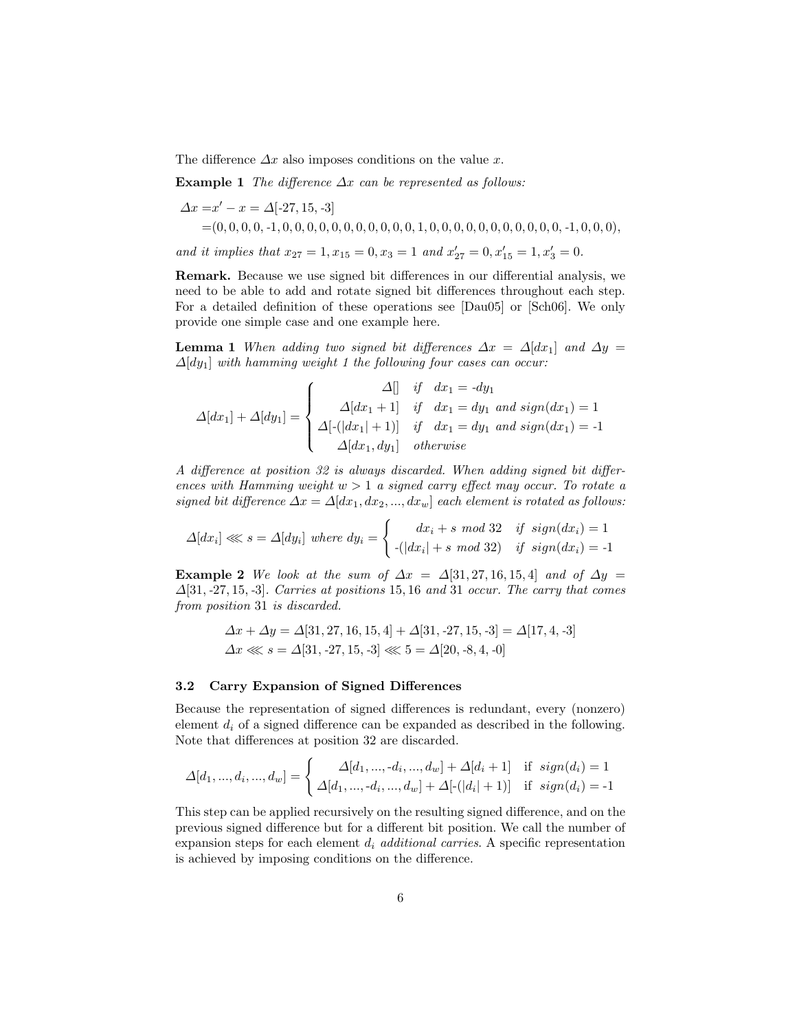The difference  $\Delta x$  also imposes conditions on the value x.

Example 1 The difference  $\Delta x$  can be represented as follows:

∆x =x <sup>0</sup> − x = ∆[-27, 15,-3] =(0, 0, 0, 0,-1, 0, 0, 0, 0, 0, 0, 0, 0, 0, 0, 0, 1, 0, 0, 0, 0, 0, 0, 0, 0, 0, 0, 0,-1, 0, 0, 0),

and it implies that  $x_{27} = 1, x_{15} = 0, x_3 = 1$  and  $x'_{27} = 0, x'_{15} = 1, x'_3 = 0$ .

Remark. Because we use signed bit differences in our differential analysis, we need to be able to add and rotate signed bit differences throughout each step. For a detailed definition of these operations see [Dau05] or [Sch06]. We only provide one simple case and one example here.

**Lemma 1** When adding two signed bit differences  $\Delta x = \Delta [dx_1]$  and  $\Delta y =$  $\Delta[dy_1]$  with hamming weight 1 the following four cases can occur:

$$
\Delta[dx_1] + \Delta[dy_1] = \begin{cases} \Delta[] & \text{if} \quad dx_1 = -dy_1 \\ \Delta[dx_1 + 1] & \text{if} \quad dx_1 = dy_1 \text{ and } sign(dx_1) = 1 \\ \Delta[-(|dx_1| + 1)] & \text{if} \quad dx_1 = dy_1 \text{ and } sign(dx_1) = -1 \\ \Delta[dx_1, dy_1] & \text{otherwise} \end{cases}
$$

A difference at position 32 is always discarded. When adding signed bit differences with Hamming weight  $w > 1$  a signed carry effect may occur. To rotate a signed bit difference  $\Delta x = \Delta [dx_1, dx_2, ..., dx_w]$  each element is rotated as follows:

$$
\Delta[dx_i] \ll s = \Delta[dy_i] \text{ where } dy_i = \begin{cases} dx_i + s \mod 32 & \text{if } sign(dx_i) = 1 \\ -(|dx_i| + s \mod 32) & \text{if } sign(dx_i) = -1 \end{cases}
$$

Example 2 We look at the sum of  $\Delta x = \Delta[31, 27, 16, 15, 4]$  and of  $\Delta y =$  $\Delta$ [31,-27, 15,-3]. Carries at positions 15, 16 and 31 occur. The carry that comes from position 31 is discarded.

$$
\Delta x + \Delta y = \Delta[31, 27, 16, 15, 4] + \Delta[31, -27, 15, -3] = \Delta[17, 4, -3]
$$
  

$$
\Delta x \ll x = \Delta[31, -27, 15, -3] \ll x = \Delta[20, -8, 4, -0]
$$

#### 3.2 Carry Expansion of Signed Differences

Because the representation of signed differences is redundant, every (nonzero) element  $d_i$  of a signed difference can be expanded as described in the following. Note that differences at position 32 are discarded.

$$
\Delta[d_1, ..., d_i, ..., d_w] = \begin{cases} \Delta[d_1, ..., -d_i, ..., d_w] + \Delta[d_i + 1] & \text{if } sign(d_i) = 1 \\ \Delta[d_1, ..., -d_i, ..., d_w] + \Delta[\cdot(|d_i| + 1)] & \text{if } sign(d_i) = -1 \end{cases}
$$

This step can be applied recursively on the resulting signed difference, and on the previous signed difference but for a different bit position. We call the number of expansion steps for each element  $d_i$  *additional carries*. A specific representation is achieved by imposing conditions on the difference.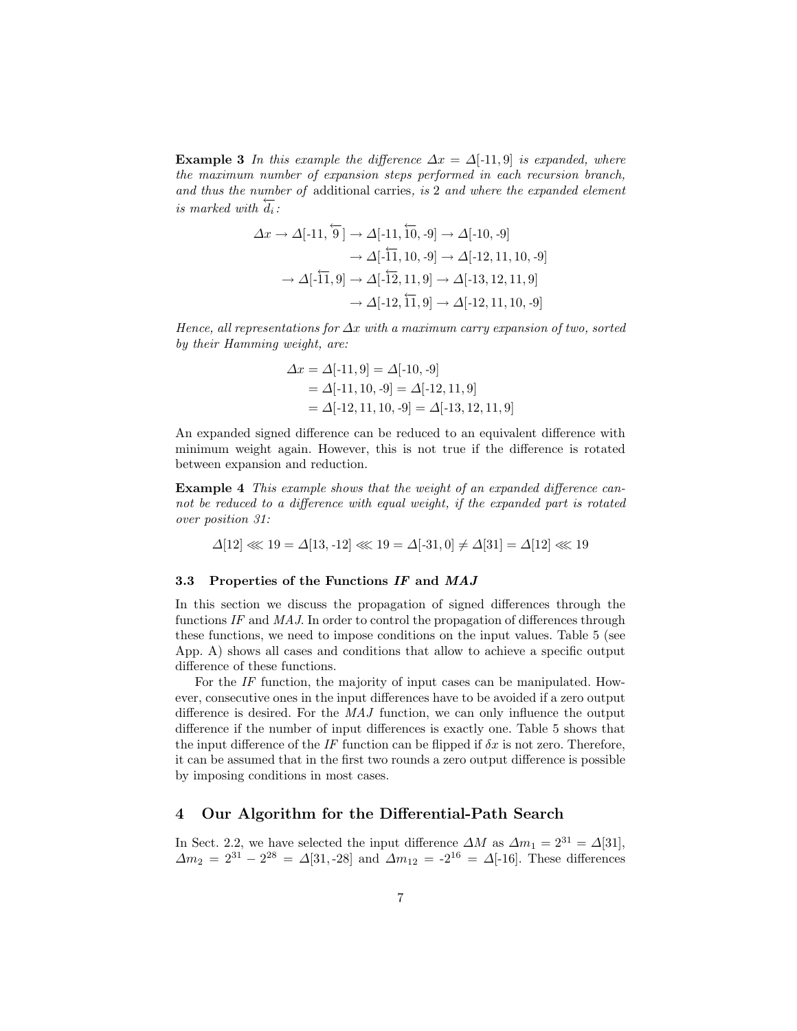**Example 3** In this example the difference  $\Delta x = \Delta[-11, 9]$  is expanded, where the maximum number of expansion steps performed in each recursion branch, and thus the number of additional carries, is 2 and where the expanded element  $\frac{d}{dt}$  is marked with  $\frac{d}{dt}$ :

$$
\Delta x \to \Delta [-11, \overleftarrow{9}] \to \Delta [-11, \overleftarrow{10}, -9] \to \Delta [-10, -9]
$$

$$
\to \Delta [-\overleftarrow{11}, 10, -9] \to \Delta [-12, 11, 10, -9]
$$

$$
\to \Delta [-\overleftarrow{11}, 9] \to \Delta [-\overleftarrow{12}, 11, 9] \to \Delta [-13, 12, 11, 9]
$$

$$
\to \Delta [-12, \overleftarrow{11}, 9] \to \Delta [-12, 11, 10, -9]
$$

Hence, all representations for  $\Delta x$  with a maximum carry expansion of two, sorted by their Hamming weight, are:

$$
\Delta x = \Delta[-11, 9] = \Delta[-10, -9]
$$
  
=  $\Delta[-11, 10, -9] = \Delta[-12, 11, 9]$   
=  $\Delta[-12, 11, 10, -9] = \Delta[-13, 12, 11, 9]$ 

An expanded signed difference can be reduced to an equivalent difference with minimum weight again. However, this is not true if the difference is rotated between expansion and reduction.

Example 4 This example shows that the weight of an expanded difference cannot be reduced to a difference with equal weight, if the expanded part is rotated over position 31:

$$
\Delta[12] \lll 19 = \Delta[13, -12] \lll 19 = \Delta[-31, 0] \neq \Delta[31] = \Delta[12] \lll 19
$$

#### 3.3 Properties of the Functions IF and MAJ

In this section we discuss the propagation of signed differences through the functions IF and MAJ. In order to control the propagation of differences through these functions, we need to impose conditions on the input values. Table 5 (see App. A) shows all cases and conditions that allow to achieve a specific output difference of these functions.

For the IF function, the majority of input cases can be manipulated. However, consecutive ones in the input differences have to be avoided if a zero output difference is desired. For the MAJ function, we can only influence the output difference if the number of input differences is exactly one. Table 5 shows that the input difference of the IF function can be flipped if  $\delta x$  is not zero. Therefore, it can be assumed that in the first two rounds a zero output difference is possible by imposing conditions in most cases.

# 4 Our Algorithm for the Differential-Path Search

In Sect. 2.2, we have selected the input difference  $\Delta M$  as  $\Delta m_1 = 2^{31} = \Delta[31]$ ,  $\Delta m_2 = 2^{31} - 2^{28} = \Delta [31, -28]$  and  $\Delta m_{12} = -2^{16} = \Delta [-16]$ . These differences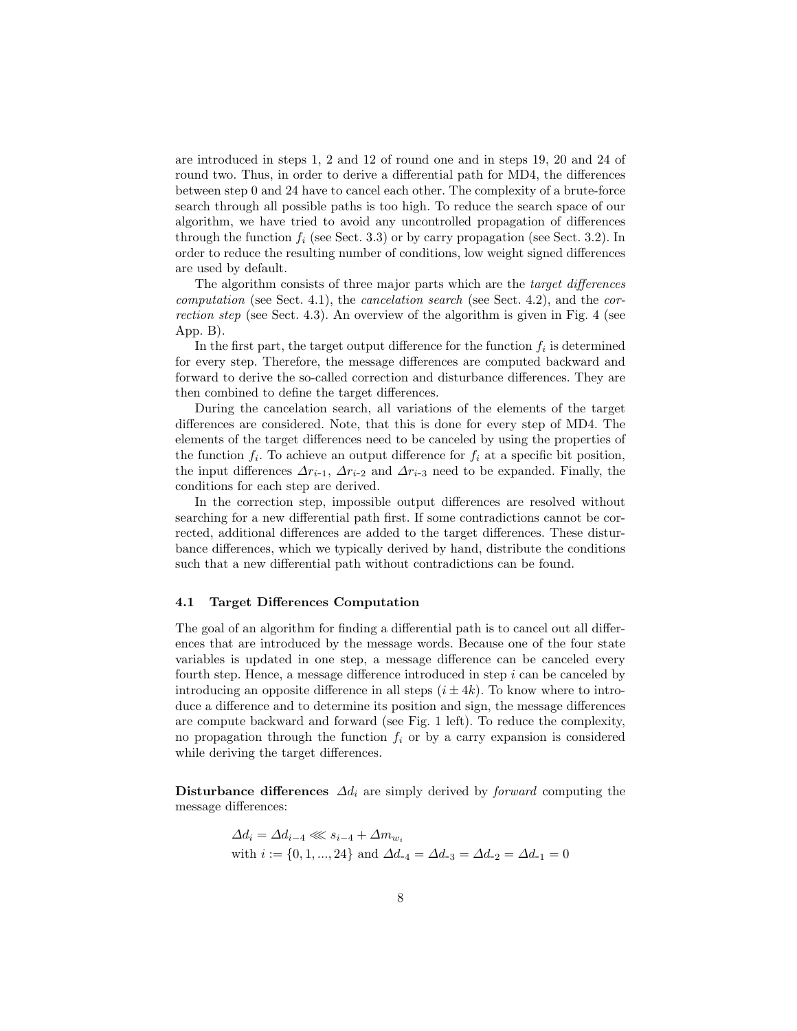are introduced in steps 1, 2 and 12 of round one and in steps 19, 20 and 24 of round two. Thus, in order to derive a differential path for MD4, the differences between step 0 and 24 have to cancel each other. The complexity of a brute-force search through all possible paths is too high. To reduce the search space of our algorithm, we have tried to avoid any uncontrolled propagation of differences through the function  $f_i$  (see Sect. 3.3) or by carry propagation (see Sect. 3.2). In order to reduce the resulting number of conditions, low weight signed differences are used by default.

The algorithm consists of three major parts which are the target differences computation (see Sect. 4.1), the *cancelation search* (see Sect. 4.2), and the *cor*rection step (see Sect. 4.3). An overview of the algorithm is given in Fig. 4 (see App. B).

In the first part, the target output difference for the function  $f_i$  is determined for every step. Therefore, the message differences are computed backward and forward to derive the so-called correction and disturbance differences. They are then combined to define the target differences.

During the cancelation search, all variations of the elements of the target differences are considered. Note, that this is done for every step of MD4. The elements of the target differences need to be canceled by using the properties of the function  $f_i$ . To achieve an output difference for  $f_i$  at a specific bit position, the input differences  $\Delta r_{i-1}$ ,  $\Delta r_{i-2}$  and  $\Delta r_{i-3}$  need to be expanded. Finally, the conditions for each step are derived.

In the correction step, impossible output differences are resolved without searching for a new differential path first. If some contradictions cannot be corrected, additional differences are added to the target differences. These disturbance differences, which we typically derived by hand, distribute the conditions such that a new differential path without contradictions can be found.

#### 4.1 Target Differences Computation

The goal of an algorithm for finding a differential path is to cancel out all differences that are introduced by the message words. Because one of the four state variables is updated in one step, a message difference can be canceled every fourth step. Hence, a message difference introduced in step  $i$  can be canceled by introducing an opposite difference in all steps  $(i \pm 4k)$ . To know where to introduce a difference and to determine its position and sign, the message differences are compute backward and forward (see Fig. 1 left). To reduce the complexity, no propagation through the function  $f_i$  or by a carry expansion is considered while deriving the target differences.

Disturbance differences  $\Delta d_i$  are simply derived by *forward* computing the message differences:

$$
\begin{aligned} \Delta d_i&=\Delta d_{i-4}\lll s_{i-4}+\Delta m_{w_i}\\ \text{with } i&:=\{0,1,...,24\}\text{ and }\Delta d_{-4}=\Delta d_{-3}=\Delta d_{-2}=\Delta d_{-1}=0 \end{aligned}
$$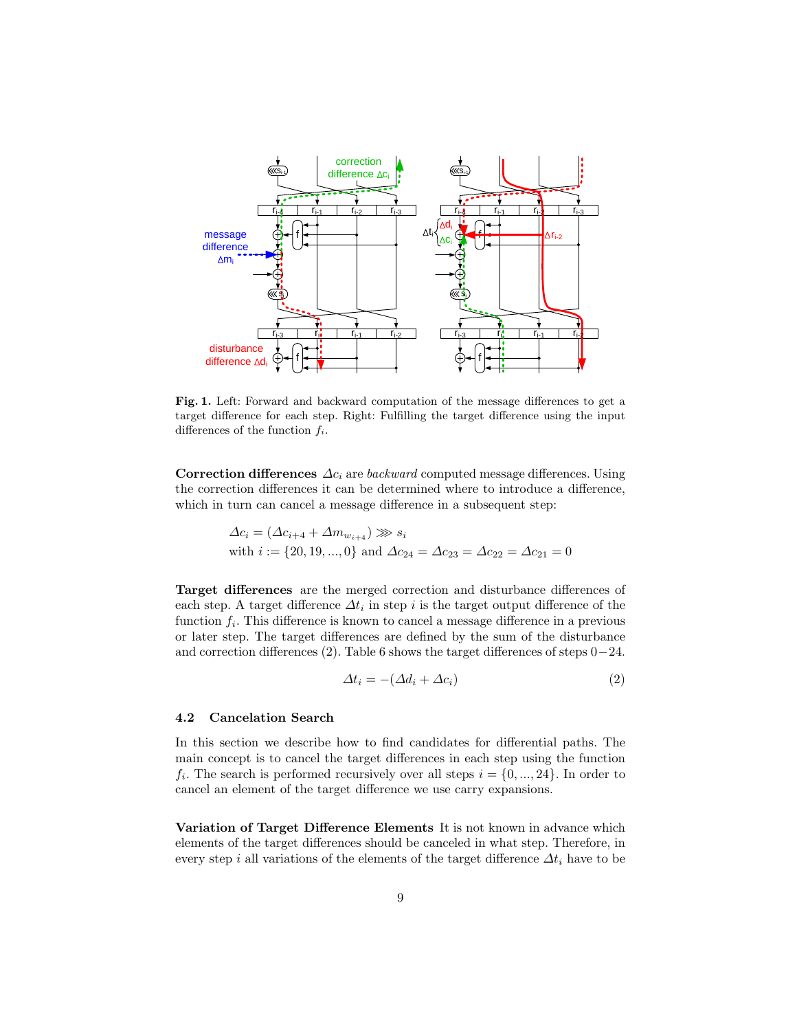

Fig. 1. Left: Forward and backward computation of the message differences to get a target difference for each step. Right: Fulfilling the target difference using the input differences of the function  $f_i$ .

Correction differences  $\Delta c_i$  are backward computed message differences. Using the correction differences it can be determined where to introduce a difference, which in turn can cancel a message difference in a subsequent step:

$$
\Delta c_i = (\Delta c_{i+4} + \Delta m_{w_{i+4}}) \gg s_i
$$
  
with  $i := \{20, 19, ..., 0\}$  and  $\Delta c_{24} = \Delta c_{23} = \Delta c_{22} = \Delta c_{21} = 0$ 

Target differences are the merged correction and disturbance differences of each step. A target difference  $\Delta t_i$  in step i is the target output difference of the function  $f_i$ . This difference is known to cancel a message difference in a previous or later step. The target differences are defined by the sum of the disturbance and correction differences (2). Table 6 shows the target differences of steps 0−24.

$$
\Delta t_i = -(\Delta d_i + \Delta c_i) \tag{2}
$$

#### 4.2 Cancelation Search

In this section we describe how to find candidates for differential paths. The main concept is to cancel the target differences in each step using the function  $f_i$ . The search is performed recursively over all steps  $i = \{0, ..., 24\}$ . In order to cancel an element of the target difference we use carry expansions.

Variation of Target Difference Elements It is not known in advance which elements of the target differences should be canceled in what step. Therefore, in every step i all variations of the elements of the target difference  $\Delta t_i$  have to be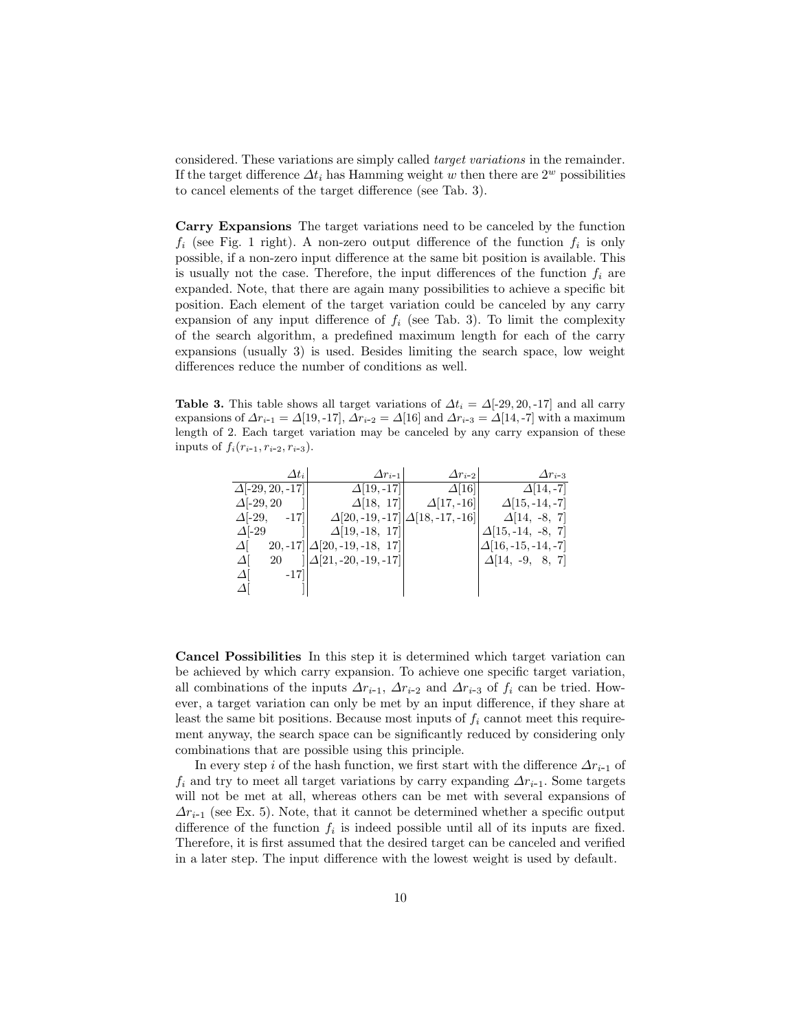considered. These variations are simply called target variations in the remainder. If the target difference  $\Delta t_i$  has Hamming weight w then there are  $2^w$  possibilities to cancel elements of the target difference (see Tab. 3).

Carry Expansions The target variations need to be canceled by the function  $f_i$  (see Fig. 1 right). A non-zero output difference of the function  $f_i$  is only possible, if a non-zero input difference at the same bit position is available. This is usually not the case. Therefore, the input differences of the function  $f_i$  are expanded. Note, that there are again many possibilities to achieve a specific bit position. Each element of the target variation could be canceled by any carry expansion of any input difference of  $f_i$  (see Tab. 3). To limit the complexity of the search algorithm, a predefined maximum length for each of the carry expansions (usually 3) is used. Besides limiting the search space, low weight differences reduce the number of conditions as well.

Table 3. This table shows all target variations of  $\Delta t_i = \Delta [-29, 20, -17]$  and all carry expansions of  $\Delta r_{i-1} = \Delta[19, -17], \Delta r_{i-2} = \Delta[16]$  and  $\Delta r_{i-3} = \Delta[14, -7]$  with a maximum length of 2. Each target variation may be canceled by any carry expansion of these inputs of  $f_i(r_{i-1}, r_{i-2}, r_{i-3})$ .

|                   | $\varDelta t_i$        | $\Delta r_{i-1}$                                | $\Delta r_{i-2}$   | $\Delta r_{i-3}$            |
|-------------------|------------------------|-------------------------------------------------|--------------------|-----------------------------|
|                   | $\Delta[-29, 20, -17]$ | $\Delta$ [19, -17]                              | $\Delta$ [16]      | $\Delta$ [14, -7]           |
| $\Delta[-29, 20]$ |                        | $\Delta$ [18, 17]                               | $\Delta$ [17, -16] | $\Delta$ [15, -14, -7]      |
| $\Delta$ [-29,    | $-17$                  | $\Delta$ [20, -19, -17] $\Delta$ [18, -17, -16] |                    | $\Delta$ [14, -8, 7]        |
| $\Delta$ -29      |                        | $\Delta$ [19, -18, 17]                          |                    | $\Delta$ [15, -14, -8, 7]   |
| $\Delta$          |                        | $20, -17$   $\Delta$ [20, -19, -18, 17]         |                    | $\Delta$ [16, -15, -14, -7] |
| $\Delta$          | 20                     | $  \Delta[21, -20, -19, -17  $                  |                    | $\Delta$ [14, -9, 8, 7]     |
| $\Delta$          | $-17$                  |                                                 |                    |                             |
| $\Delta$          |                        |                                                 |                    |                             |

Cancel Possibilities In this step it is determined which target variation can be achieved by which carry expansion. To achieve one specific target variation, all combinations of the inputs  $\Delta r_{i-1}$ ,  $\Delta r_{i-2}$  and  $\Delta r_{i-3}$  of  $f_i$  can be tried. However, a target variation can only be met by an input difference, if they share at least the same bit positions. Because most inputs of  $f_i$  cannot meet this requirement anyway, the search space can be significantly reduced by considering only combinations that are possible using this principle.

In every step i of the hash function, we first start with the difference  $\Delta r_{i-1}$  of  $f_i$  and try to meet all target variations by carry expanding  $\Delta r_{i-1}$ . Some targets will not be met at all, whereas others can be met with several expansions of  $\Delta r_{i-1}$  (see Ex. 5). Note, that it cannot be determined whether a specific output difference of the function  $f_i$  is indeed possible until all of its inputs are fixed. Therefore, it is first assumed that the desired target can be canceled and verified in a later step. The input difference with the lowest weight is used by default.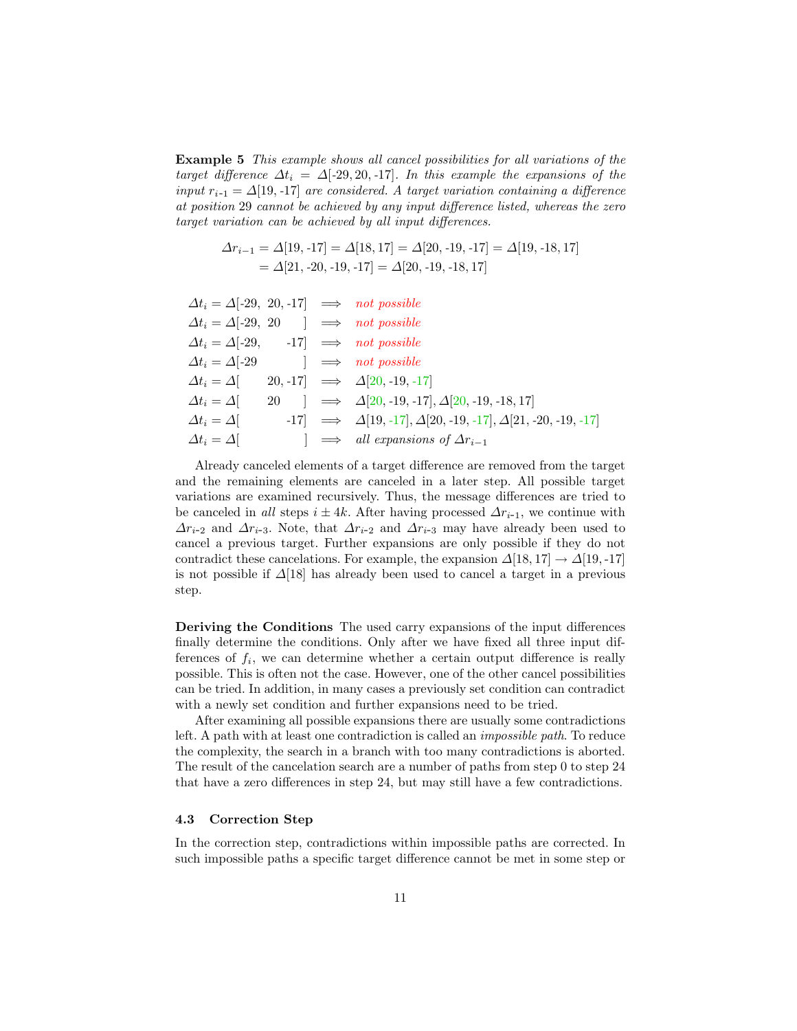Example 5 This example shows all cancel possibilities for all variations of the target difference  $\Delta t_i = \Delta [-29, 20, -17]$ . In this example the expansions of the input  $r_{i-1} = \Delta[19, -17]$  are considered. A target variation containing a difference at position 29 cannot be achieved by any input difference listed, whereas the zero target variation can be achieved by all input differences.

$$
\Delta r_{i-1} = \Delta[19, -17] = \Delta[18, 17] = \Delta[20, -19, -17] = \Delta[19, -18, 17]
$$
  
=  $\Delta[21, -20, -19, -17] = \Delta[20, -19, -18, 17]$ 

| $\Delta t_i = \Delta [-29, 20, -17] \implies not possible$ |  |                                                                                    |
|------------------------------------------------------------|--|------------------------------------------------------------------------------------|
| $\Delta t_i = \Delta [-29, 20] \implies not possible$      |  |                                                                                    |
| $\Delta t_i = \Delta [-29, 17] \implies not possible$      |  |                                                                                    |
| $\Delta t_i = \Delta [-29]$ $\implies$ not possible        |  |                                                                                    |
| $\Delta t_i = \Delta$                                      |  | 20, -17 $\implies$ $\Delta$ [20, -19, -17]                                         |
| $\Delta t_i = \Delta$                                      |  | 20 $\downarrow \Rightarrow \Delta[20, -19, -17], \Delta[20, -19, -18, 17]$         |
| $\Delta t_i = \Delta$                                      |  | $-17 \Rightarrow \Delta[19, -17], \Delta[20, -19, -17], \Delta[21, -20, -19, -17]$ |
| $\Delta t_i = \Delta$                                      |  | $\Rightarrow$ all expansions of $\Delta r_{i-1}$                                   |

Already canceled elements of a target difference are removed from the target and the remaining elements are canceled in a later step. All possible target variations are examined recursively. Thus, the message differences are tried to be canceled in all steps  $i \pm 4k$ . After having processed  $\Delta r_{i-1}$ , we continue with  $\Delta r_{i-2}$  and  $\Delta r_{i-3}$ . Note, that  $\Delta r_{i-2}$  and  $\Delta r_{i-3}$  may have already been used to cancel a previous target. Further expansions are only possible if they do not contradict these cancelations. For example, the expansion  $\Delta$ [18, 17] →  $\Delta$ [19, -17] is not possible if  $\Delta$ [18] has already been used to cancel a target in a previous step.

Deriving the Conditions The used carry expansions of the input differences finally determine the conditions. Only after we have fixed all three input differences of  $f_i$ , we can determine whether a certain output difference is really possible. This is often not the case. However, one of the other cancel possibilities can be tried. In addition, in many cases a previously set condition can contradict with a newly set condition and further expansions need to be tried.

After examining all possible expansions there are usually some contradictions left. A path with at least one contradiction is called an impossible path. To reduce the complexity, the search in a branch with too many contradictions is aborted. The result of the cancelation search are a number of paths from step 0 to step 24 that have a zero differences in step 24, but may still have a few contradictions.

#### 4.3 Correction Step

In the correction step, contradictions within impossible paths are corrected. In such impossible paths a specific target difference cannot be met in some step or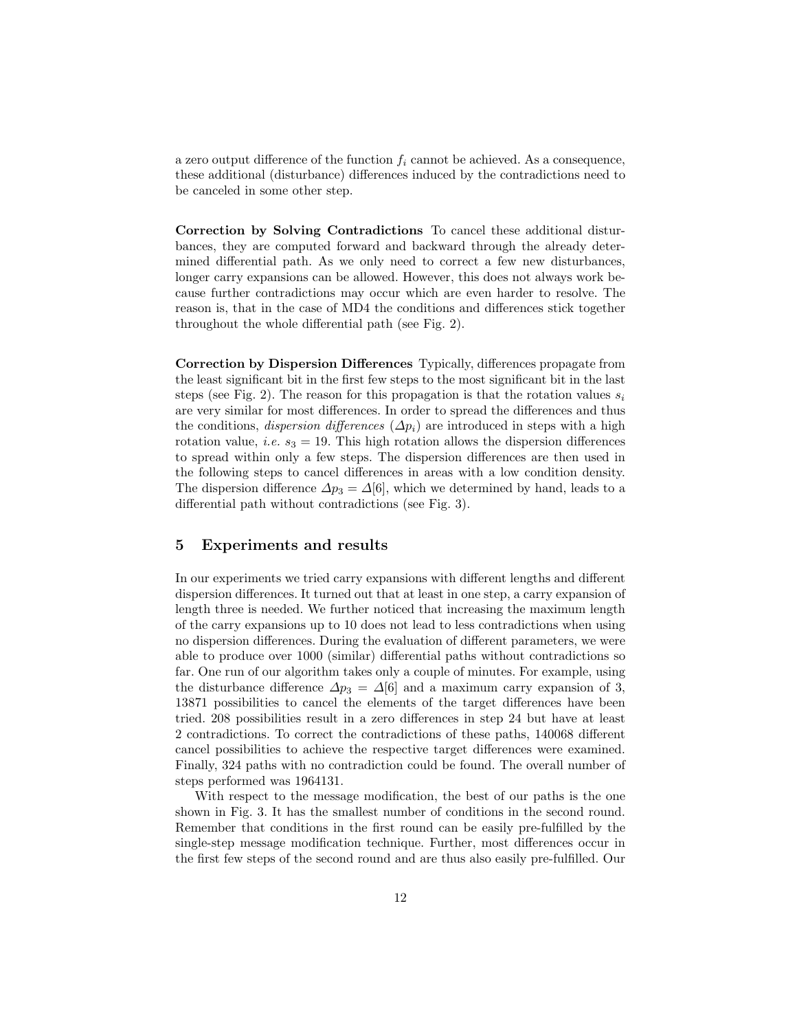a zero output difference of the function  $f_i$  cannot be achieved. As a consequence, these additional (disturbance) differences induced by the contradictions need to be canceled in some other step.

Correction by Solving Contradictions To cancel these additional disturbances, they are computed forward and backward through the already determined differential path. As we only need to correct a few new disturbances, longer carry expansions can be allowed. However, this does not always work because further contradictions may occur which are even harder to resolve. The reason is, that in the case of MD4 the conditions and differences stick together throughout the whole differential path (see Fig. 2).

Correction by Dispersion Differences Typically, differences propagate from the least significant bit in the first few steps to the most significant bit in the last steps (see Fig. 2). The reason for this propagation is that the rotation values  $s_i$ are very similar for most differences. In order to spread the differences and thus the conditions, *dispersion differences* ( $\Delta p_i$ ) are introduced in steps with a high rotation value, *i.e.*  $s_3 = 19$ . This high rotation allows the dispersion differences to spread within only a few steps. The dispersion differences are then used in the following steps to cancel differences in areas with a low condition density. The dispersion difference  $\Delta p_3 = \Delta[6]$ , which we determined by hand, leads to a differential path without contradictions (see Fig. 3).

### 5 Experiments and results

In our experiments we tried carry expansions with different lengths and different dispersion differences. It turned out that at least in one step, a carry expansion of length three is needed. We further noticed that increasing the maximum length of the carry expansions up to 10 does not lead to less contradictions when using no dispersion differences. During the evaluation of different parameters, we were able to produce over 1000 (similar) differential paths without contradictions so far. One run of our algorithm takes only a couple of minutes. For example, using the disturbance difference  $\Delta p_3 = \Delta[6]$  and a maximum carry expansion of 3, 13871 possibilities to cancel the elements of the target differences have been tried. 208 possibilities result in a zero differences in step 24 but have at least 2 contradictions. To correct the contradictions of these paths, 140068 different cancel possibilities to achieve the respective target differences were examined. Finally, 324 paths with no contradiction could be found. The overall number of steps performed was 1964131.

With respect to the message modification, the best of our paths is the one shown in Fig. 3. It has the smallest number of conditions in the second round. Remember that conditions in the first round can be easily pre-fulfilled by the single-step message modification technique. Further, most differences occur in the first few steps of the second round and are thus also easily pre-fulfilled. Our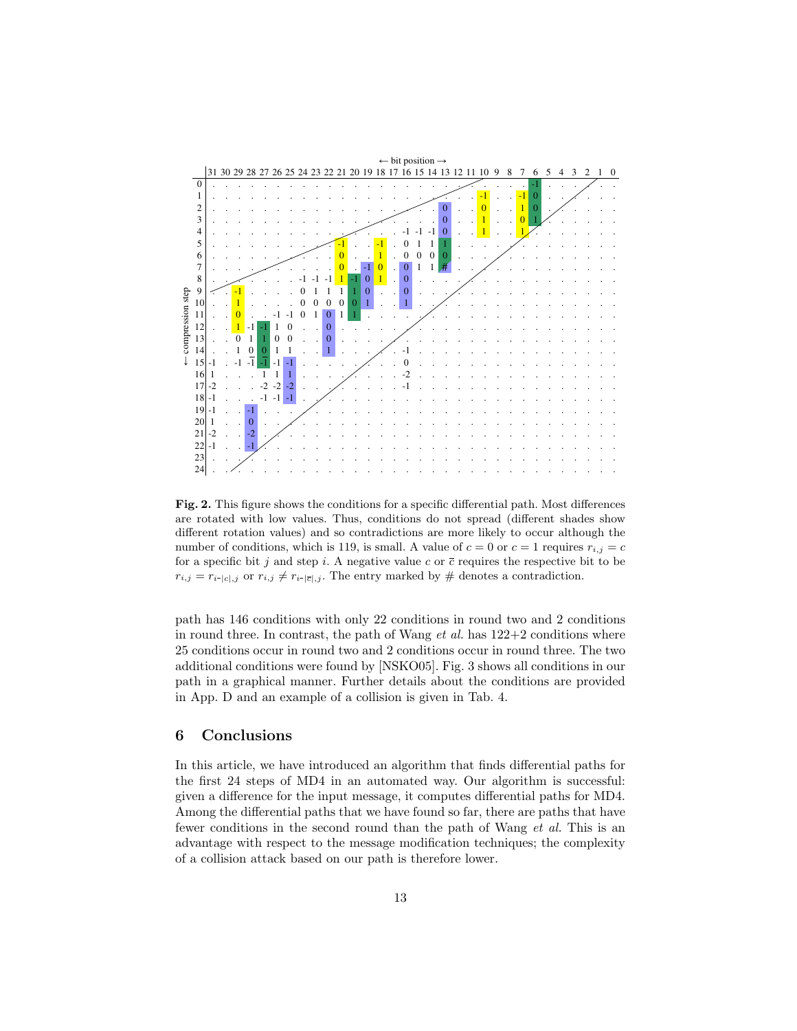

Fig. 2. This figure shows the conditions for a specific differential path. Most differences are rotated with low values. Thus, conditions do not spread (different shades show different rotation values) and so contradictions are more likely to occur although the number of conditions, which is 119, is small. A value of  $c = 0$  or  $c = 1$  requires  $r_{i,j} = c$ for a specific bit j and step i. A negative value c or  $\bar{c}$  requires the respective bit to be  $r_{i,j} = r_{i-|c|,j}$  or  $r_{i,j} \neq r_{i-|\overline{c}|,j}$ . The entry marked by # denotes a contradiction.

path has 146 conditions with only 22 conditions in round two and 2 conditions in round three. In contrast, the path of Wang  $et$  al. has  $122+2$  conditions where 25 conditions occur in round two and 2 conditions occur in round three. The two additional conditions were found by [NSKO05]. Fig. 3 shows all conditions in our path in a graphical manner. Further details about the conditions are provided in App. D and an example of a collision is given in Tab. 4.

#### 6 Conclusions

fewer conditions in the second round than the path of Wang et al. This is an In this article, we have introduced an algorithm that finds differential paths for the first 24 steps of MD4 in an automated way. Our algorithm is successful: given a difference for the input message, it computes differential paths for MD4. Among the differential paths that we have found so far, there are paths that have advantage with respect to the message modification techniques; the complexity of a collision attack based on our path is therefore lower.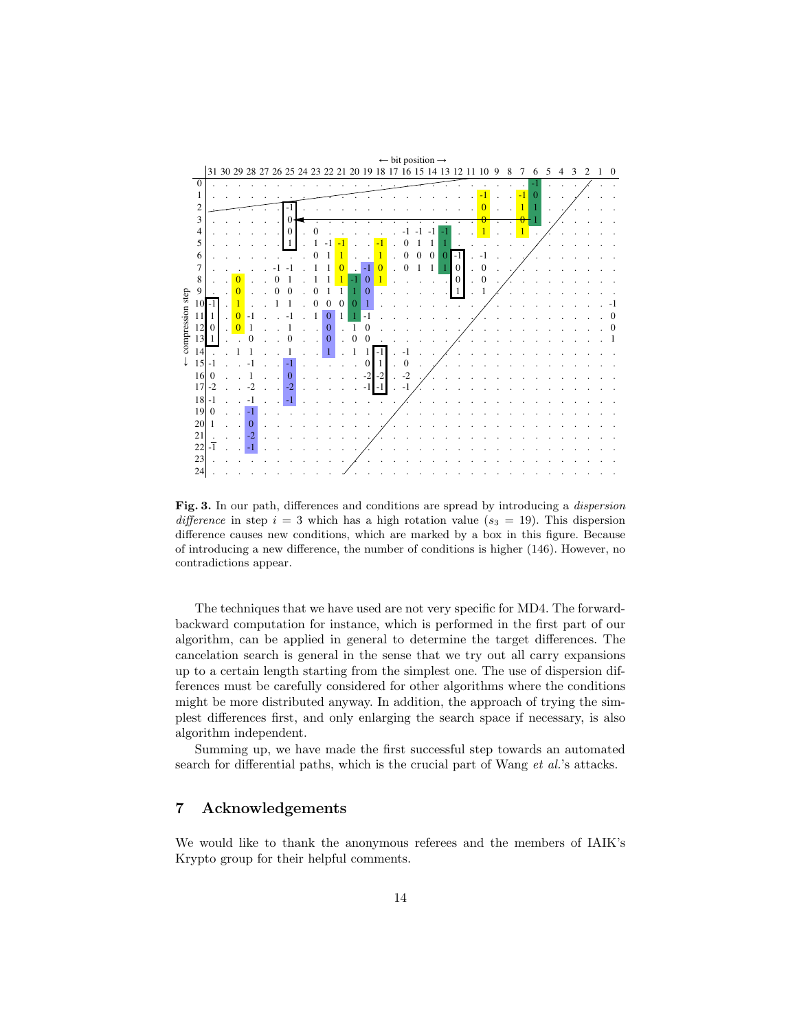

Fig. 3. In our path, differences and conditions are spread by introducing a dispersion difference in step  $i = 3$  which has a high rotation value ( $s_3 = 19$ ). This dispersion difference causes new conditions, which are marked by a box in this figure. Because of introducing a new difference, the number of conditions is higher (146). However, no contradictions appear.

The techniques that we have used are not very specific for MD4. The forwardbackward computation for instance, which is performed in the first part of our algorithm, can be applied in general to determine the target differences. The cancelation search is general in the sense that we try out all carry expansions up to a certain length starting from the simplest one. The use of dispersion differences must be carefully considered for other algorithms where the conditions might be more distributed anyway. In addition, the approach of trying the simplest differences first, and only enlarging the search space if necessary, is also algorithm independent.

Summing up, we have made the first successful step towards an automated search for differential paths, which is the crucial part of Wang *et al.*'s attacks.

# 7 Acknowledgements

We would like to thank the anonymous referees and the members of IAIK's Krypto group for their helpful comments.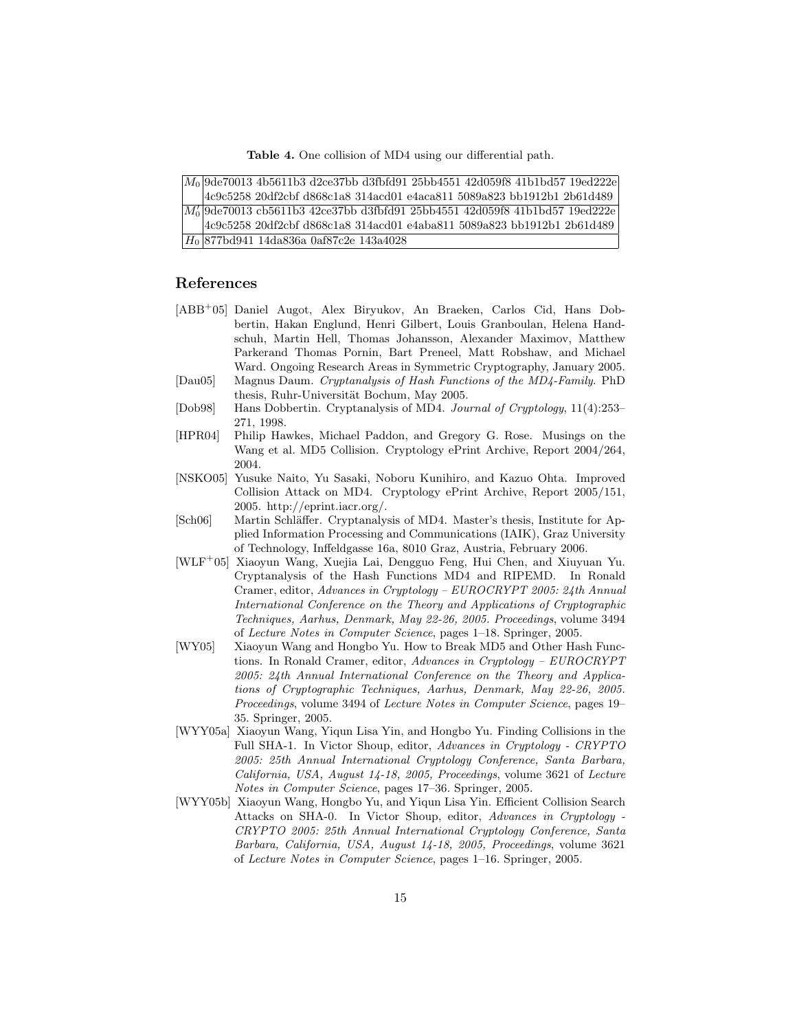Table 4. One collision of MD4 using our differential path.

|  | $[M_0]$ 9de70013 4b5611b3 d2ce37bb d3fbfd91 25bb4551 42d059f8 41b1bd57 19ed222e |
|--|---------------------------------------------------------------------------------|
|  | 4c9c5258 20df2cbf d868c1a8 314acd01 e4aca811 5089a823 bb1912b1 2b61d489         |
|  | $M_0$ 9de70013 cb5611b3 42ce37bb d3fbfd91 25bb4551 42d059f8 41b1bd57 19ed222e   |
|  | 4c9c5258 20df2cbf d868c1a8 314acd01 e4aba811 5089a823 bb1912b1 2b61d489         |
|  | $ H_0 87701941$ 14da836a 0af87c2e 143a4028                                      |

### References

- [ABB<sup>+</sup>05] Daniel Augot, Alex Biryukov, An Braeken, Carlos Cid, Hans Dobbertin, Hakan Englund, Henri Gilbert, Louis Granboulan, Helena Handschuh, Martin Hell, Thomas Johansson, Alexander Maximov, Matthew Parkerand Thomas Pornin, Bart Preneel, Matt Robshaw, and Michael Ward. Ongoing Research Areas in Symmetric Cryptography, January 2005.
- [Dau05] Magnus Daum. Cryptanalysis of Hash Functions of the MD4-Family. PhD thesis, Ruhr-Universität Bochum, May 2005.
- [Dob98] Hans Dobbertin. Cryptanalysis of MD4. Journal of Cryptology, 11(4):253– 271, 1998.
- [HPR04] Philip Hawkes, Michael Paddon, and Gregory G. Rose. Musings on the Wang et al. MD5 Collision. Cryptology ePrint Archive, Report 2004/264, 2004.
- [NSKO05] Yusuke Naito, Yu Sasaki, Noboru Kunihiro, and Kazuo Ohta. Improved Collision Attack on MD4. Cryptology ePrint Archive, Report 2005/151, 2005. http://eprint.iacr.org/.
- [Sch06] Martin Schläffer. Cryptanalysis of MD4. Master's thesis, Institute for Applied Information Processing and Communications (IAIK), Graz University of Technology, Inffeldgasse 16a, 8010 Graz, Austria, February 2006.
- [WLF<sup>+</sup>05] Xiaoyun Wang, Xuejia Lai, Dengguo Feng, Hui Chen, and Xiuyuan Yu. Cryptanalysis of the Hash Functions MD4 and RIPEMD. In Ronald Cramer, editor, Advances in Cryptology – EUROCRYPT 2005: 24th Annual International Conference on the Theory and Applications of Cryptographic Techniques, Aarhus, Denmark, May 22-26, 2005. Proceedings, volume 3494 of Lecture Notes in Computer Science, pages 1–18. Springer, 2005.
- [WY05] Xiaoyun Wang and Hongbo Yu. How to Break MD5 and Other Hash Functions. In Ronald Cramer, editor, Advances in Cryptology – EUROCRYPT 2005: 24th Annual International Conference on the Theory and Applications of Cryptographic Techniques, Aarhus, Denmark, May 22-26, 2005. Proceedings, volume 3494 of Lecture Notes in Computer Science, pages 19– 35. Springer, 2005.
- [WYY05a] Xiaoyun Wang, Yiqun Lisa Yin, and Hongbo Yu. Finding Collisions in the Full SHA-1. In Victor Shoup, editor, Advances in Cryptology - CRYPTO 2005: 25th Annual International Cryptology Conference, Santa Barbara, California, USA, August 14-18, 2005, Proceedings, volume 3621 of Lecture Notes in Computer Science, pages 17–36. Springer, 2005.
- [WYY05b] Xiaoyun Wang, Hongbo Yu, and Yiqun Lisa Yin. Efficient Collision Search Attacks on SHA-0. In Victor Shoup, editor, Advances in Cryptology - CRYPTO 2005: 25th Annual International Cryptology Conference, Santa Barbara, California, USA, August 14-18, 2005, Proceedings, volume 3621 of Lecture Notes in Computer Science, pages 1–16. Springer, 2005.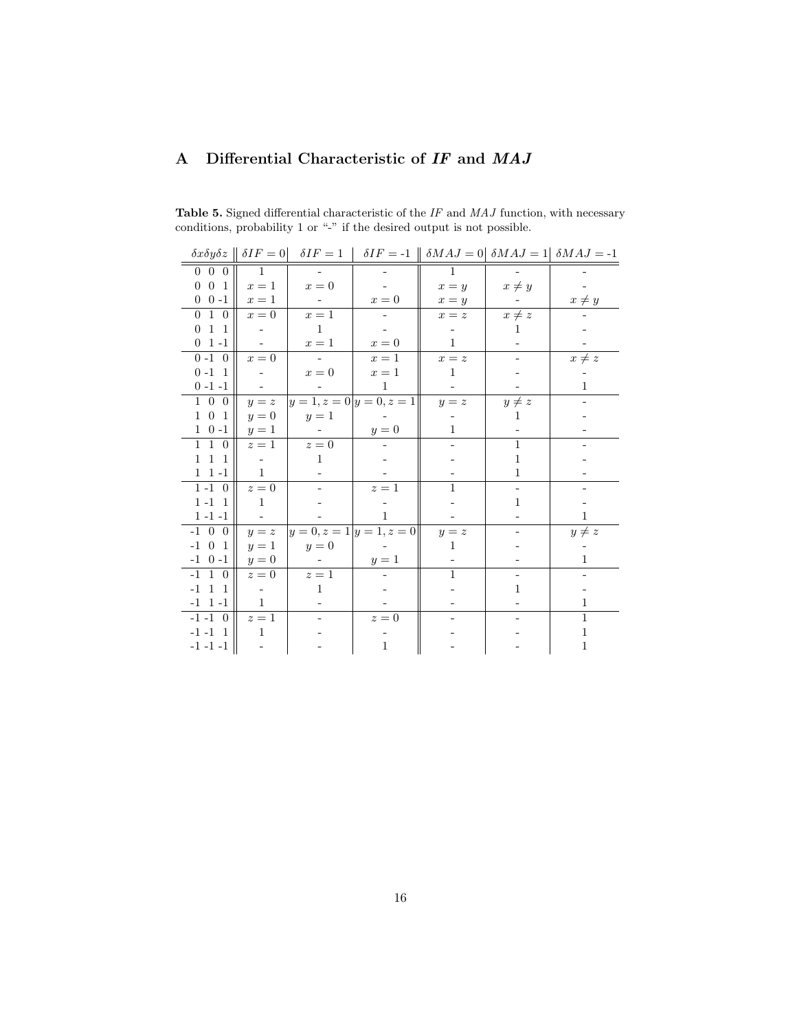# A Differential Characteristic of IF and MAJ

|                                     |                |                                                      |                          |              |                          | $\delta x \delta y \delta z \parallel \delta I F = 0$ $\delta I F = 1$ $\delta I F = -1$ $\parallel \delta M A J = 0$ $\delta M A J = 1$ $\delta M A J = -1$ |
|-------------------------------------|----------------|------------------------------------------------------|--------------------------|--------------|--------------------------|--------------------------------------------------------------------------------------------------------------------------------------------------------------|
| $0\quad 0\quad 0$                   | $\overline{1}$ |                                                      |                          | $\mathbf{1}$ |                          |                                                                                                                                                              |
| $0 \t0 \t1$                         | $x=1$          | $x=0$                                                |                          | $x = y$      | $x \neq y$               |                                                                                                                                                              |
| $0 \t 0 -1$                         | $x=1$          | $\sim$ $-$                                           | $x=0$                    | $x = y$      |                          | $x \neq y$                                                                                                                                                   |
| $0\quad 1\quad 0$                   | $x=0$          | $x=1$                                                | $\overline{\phantom{a}}$ | $x = z$      | $x \neq z$               |                                                                                                                                                              |
| $0 \quad 1 \quad 1$                 |                | $\overline{1}$                                       |                          |              | 1                        |                                                                                                                                                              |
| $0 \t1 - 1$                         | $\omega$       | $x=1$                                                | $\boldsymbol{x}=0$       | $\mathbf{1}$ |                          |                                                                                                                                                              |
| $0 - 1 = 0$                         | $x=0$          | $\alpha$ , $\alpha$ , $\alpha$ , $\alpha$ , $\alpha$ | $x=1$                    | $x = z$      | $\overline{\phantom{a}}$ | $x \neq z$                                                                                                                                                   |
| $0 - 1$ 1                           |                | $x=0$                                                | $x=1$                    | $\mathbf{1}$ |                          |                                                                                                                                                              |
| $0 - 1 - 1$                         |                |                                                      | $\mathbf{1}$             |              |                          | $\mathbf{1}$                                                                                                                                                 |
| $1\quad0\quad0$                     | $y = z$        |                                                      | $ y=1, z=0 y=0, z=1 $    | $y = z$      | $y \neq z$               |                                                                                                                                                              |
| $1 \t0 \t1$                         | $y=0$          | $y=1$                                                |                          |              | 1                        |                                                                                                                                                              |
| $1 \t0 -1$                          | $y=1$          |                                                      | $y=0$                    | $\mathbf{1}$ |                          |                                                                                                                                                              |
| $1\quad1\quad0$                     | $z=1$          | $z=0$                                                |                          |              | $\mathbf{1}$             |                                                                                                                                                              |
| $1\hspace{0.1cm} 1\hspace{0.1cm} 1$ |                | $\mathbf{1}$                                         |                          |              | $\mathbf{1}$             |                                                                                                                                                              |
| $1 \t1 -1$                          | $\mathbf{1}$   |                                                      |                          |              | $\mathbf{1}$             |                                                                                                                                                              |
| $1 - 1$ 0                           | $z=0$          |                                                      | $z=1$                    | $\mathbf{1}$ | $\overline{\phantom{a}}$ |                                                                                                                                                              |
| $1 - 1$ 1                           | $\overline{1}$ |                                                      |                          |              | $\mathbf{1}$             |                                                                                                                                                              |
| $1 - 1 - 1$                         |                |                                                      | $\mathbf{1}$             |              |                          | 1                                                                                                                                                            |
| $-1$ 0 0                            | $y = z$        |                                                      | $ y=0, z=1 y=1, z=0 $    | $y = z$      |                          | $y \neq z$                                                                                                                                                   |
| $-1$ 0 1                            | $y=1$          | $y=0$                                                |                          | 1            |                          |                                                                                                                                                              |
| $-1$ 0 $-1$                         | $y=0$          |                                                      | $y=1$                    |              |                          | $\mathbf{1}$                                                                                                                                                 |
| $-1$ 1 0                            | $z=0$          | $z=1$                                                |                          | $\mathbf{1}$ |                          |                                                                                                                                                              |
| $-1$ 1 1                            | $\sim$ $-$     | 1                                                    |                          |              | $\mathbf{1}$             |                                                                                                                                                              |
| $-1$ 1 $-1$                         | $\,1\,$        |                                                      |                          |              |                          | 1                                                                                                                                                            |
| $-1 -1 0$                           | $z=1$          |                                                      | $z=0$                    |              |                          | 1                                                                                                                                                            |
| $-1$ $-1$ $1$                       | 1              |                                                      |                          |              |                          | 1                                                                                                                                                            |
| $-1 -1 -1$                          |                |                                                      | $\mathbf{1}$             |              |                          | 1                                                                                                                                                            |

**Table 5.** Signed differential characteristic of the  $IF$  and  $MAJ$  function, with necessary conditions, probability 1 or "-" if the desired output is not possible.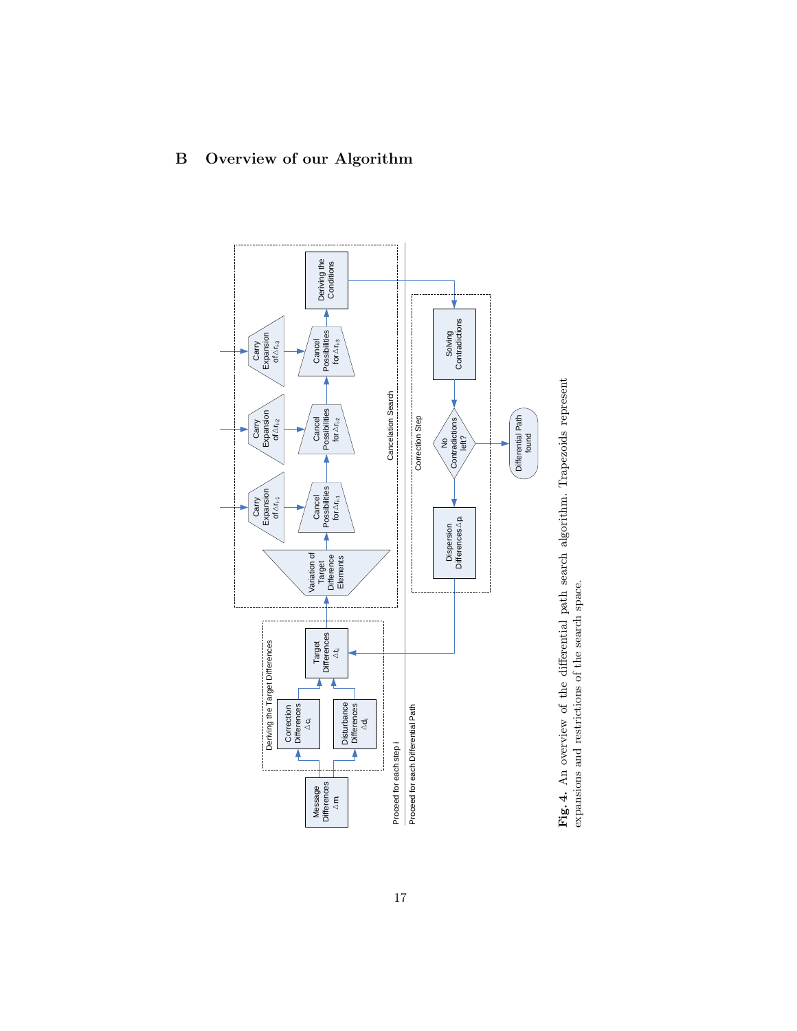

Fig. 4. An overview of the differential path search algorithm. Trapezoids represent Fig. 4. An overview of the differential path search algorithm. Trapezoids represent expansions and restrictions of the search space. expansions and restrictions of the search space.

# B Overview of our Algorithm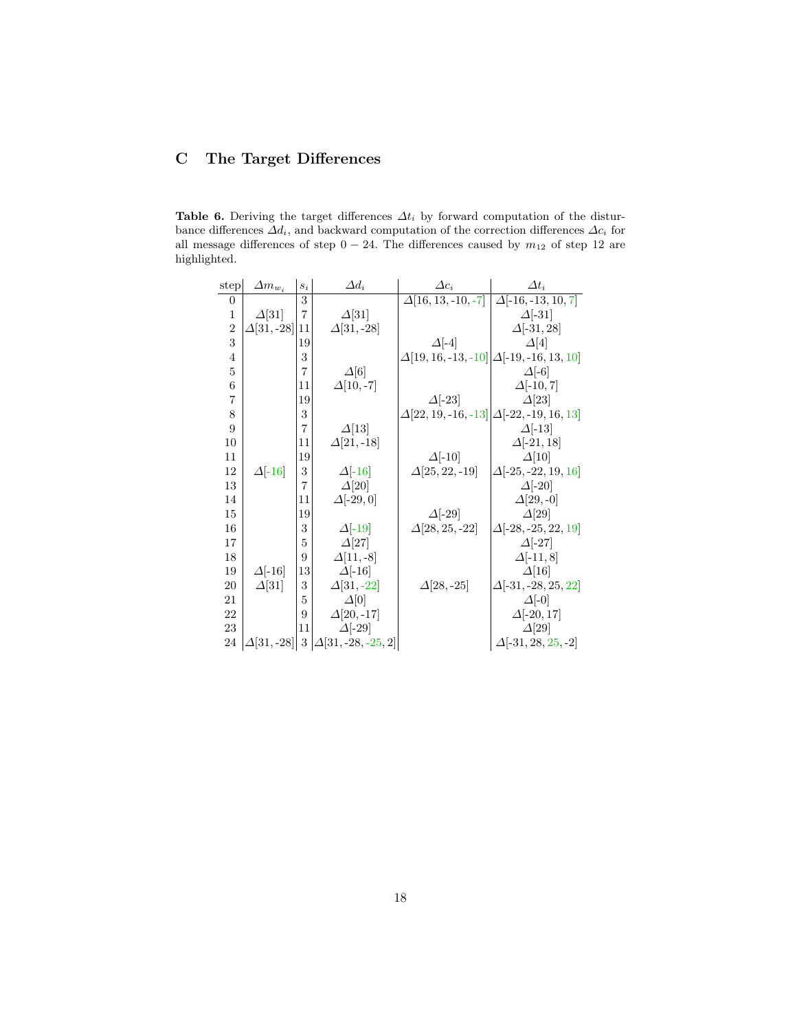# C The Target Differences

Table 6. Deriving the target differences  $\Delta t_i$  by forward computation of the disturbance differences  $\Delta d_i$ , and backward computation of the correction differences  $\Delta c_i$  for all message differences of step  $0 - 24$ . The differences caused by  $m_{12}$  of step 12 are highlighted.

| ${\rm step}$   | $\Delta m_{w_i}$  | $s_i$          | $\Delta d_i$              | $\Delta c_i$                                            | $\Delta t_i$               |
|----------------|-------------------|----------------|---------------------------|---------------------------------------------------------|----------------------------|
| $\overline{0}$ |                   | 3              |                           | $\overline{\Delta[16, 13, -10, -7]}$                    | $\Delta[-16,-13,10,7]$     |
| $\mathbf{1}$   | $\Delta$ [31]     | $\overline{7}$ | $\Delta$ [31]             |                                                         | $\Delta$ [-31]             |
| $\overline{2}$ | $\Delta[31,-28]$  | 11             | $\Delta[31,-28]$          |                                                         | $\Delta[-31, 28]$          |
| 3              |                   | 19             |                           | $\Delta$ [-4]                                           | $\Delta[4]$                |
| $\overline{4}$ |                   | 3              |                           | $\Delta$ [19, 16, -13, -10] $\Delta$ [-19, -16, 13, 10] |                            |
| 5              |                   | 7              | $\Delta[6]$               |                                                         | $\Delta$ [-6]              |
| 6              |                   | 11             | $\Delta[10,-7]$           |                                                         | $\Delta[-10, 7]$           |
| $\overline{7}$ |                   | 19             |                           | $\Delta$ [-23]                                          | $\Delta$ [23]              |
| 8              |                   | 3              |                           | $\Delta$ [22, 19, -16, -13] $\Delta$ [-22, -19, 16, 13] |                            |
| 9              |                   | $\overline{7}$ | $\Delta$ [13]             |                                                         | $\Delta$ [-13]             |
| 10             |                   | 11             | $\Delta[21,-18]$          |                                                         | $\Delta[-21, 18]$          |
| 11             |                   | 19             |                           | $\Delta$ [-10]                                          | $\Delta[10]$               |
| 12             | $\Delta$ [-16]    | 3              | $\Delta$ [-16]            | $\Delta$ [25, 22, -19]                                  | $\Delta[-25, -22, 19, 16]$ |
| 13             |                   | 7              | $\Delta[20]$              |                                                         | $\Delta$ [-20]             |
| 14             |                   | 11             | $\Delta[-29,0]$           |                                                         | $\Delta$ [29, -0]          |
| 15             |                   | 19             |                           | $\Delta$ [-29]                                          | $\Delta$ [29]              |
| 16             |                   | 3              | $\Delta$ [-19]            | $\Delta$ [28, 25, -22]                                  | $\Delta[-28, -25, 22, 19]$ |
| 17             |                   | 5              | $\Delta$ [27]             |                                                         | $\Delta$ [-27]             |
| 18             |                   | 9              | $\Delta$ [11, -8]         |                                                         | $\Delta[-11,8]$            |
| 19             | $\Delta$ [-16]    | 13             | $\Delta$ [-16]            |                                                         | $\Delta$ [16]              |
| 20             | $\Delta$ [31]     | 3              | $\Delta$ [31, -22]        | $\Delta$ [28, -25]                                      | $\Delta[-31, -28, 25, 22]$ |
| 21             |                   | 5              | $\Delta[0]$               |                                                         | $\Delta[-0]$               |
| 22             |                   | 9              | $\Delta[20,-17]$          |                                                         | $\Delta[-20, 17]$          |
| 23             |                   | 11             | $\Delta[-29]$             |                                                         | $\Delta[29]$               |
| 24             | $\Delta[31, -28]$ | $\sqrt{3}$     | $\Delta[31, -28, -25, 2]$ |                                                         | $\Delta[-31, 28, 25, -2]$  |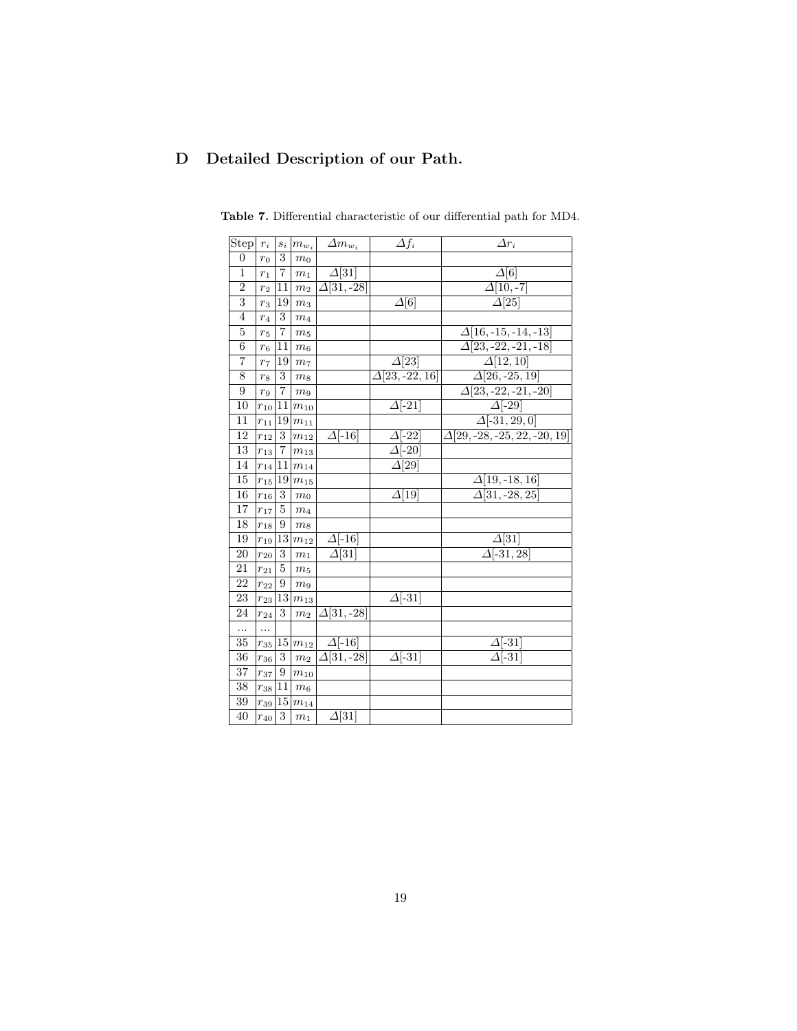# D Detailed Description of our Path.

| Step                      | $\boldsymbol{r}_i$ |                         | $s_i   m_{w_i}$        | $\Delta m_{w_i}$            | $\Delta f_i$             | $\Delta r_i$                              |
|---------------------------|--------------------|-------------------------|------------------------|-----------------------------|--------------------------|-------------------------------------------|
| $\overline{0}$            | $r_0$              | 3                       | $\sqrt{m_0}$           |                             |                          |                                           |
| $\mathbf{1}$              | $r_1$              | $\scriptstyle{7}$       | $\sqrt{m_{1}}$         | $\Delta$ [31]               |                          | $\Delta[6]$                               |
| $\overline{2}$            | r <sub>2</sub>     | 11                      | m <sub>2</sub>         | $\Delta[31,-28]$            |                          | $\overline{\Delta[10,-7]}$                |
| $\overline{\overline{3}}$ | $r_3$              | 19                      | $\mathfrak{m}_3$       |                             | $\overline{\Delta[6]}$   | $\overline{\Delta[25]}$                   |
| $\overline{4}$            | $r_4$              | 3                       | m <sub>4</sub>         |                             |                          |                                           |
| $\overline{5}$            | $r_{5}$            | 7                       | m <sub>5</sub>         |                             |                          | $\Delta$ [16, -15, -14, -13]              |
| $\boldsymbol{6}$          | $r_6$              | 11                      | m <sub>6</sub>         |                             |                          | $\Delta$ [23, -22, -21, -18]              |
| $\overline{7}$            | r <sub>7</sub>     | 19                      | m <sub>7</sub>         |                             | $\Delta$ [23]            | $\Delta[12, 10]$                          |
| 8                         | r <sub>8</sub>     | 3                       | m <sub>8</sub>         |                             | $\Delta[23,-22,16]$      | $\Delta[26, -25, 19]$                     |
| 9                         | r <sub>9</sub>     | $\overline{\mathbf{7}}$ | m <sub>9</sub>         |                             |                          | $\Delta[23, -22, -21, -20]$               |
| 10                        | $r_{10}$  11       |                         | $\ensuremath{m_{10}}$  |                             | $\Delta$ [-21]           | $\Delta$ [-29]                            |
| 11                        | $r_{11}$           | 19                      | $m_{11}$               |                             |                          | $\Delta[-31, 29, 0]$                      |
| 12                        | $r_{12}$           | 3                       | $m_{12}$               | $\Delta$ [-16]              | $\Delta$ [-22]           | $\overline{\Delta[29,-28,-25,22,-20,19]}$ |
| 13                        | $r_{13}$           | $\overline{7}$          | $\mathfrak{m}_{13}$    |                             | $\overline{\Delta[-20]}$ |                                           |
| 14                        | $r_{14}$           | 11                      | $m_{14}$               |                             | $\overline{\Delta[29]}$  |                                           |
| 15                        | $r_{15}$   19      |                         | $m_{15}$               |                             |                          | $\Delta$ [19, -18, 16]                    |
| 16                        | $r_{16}$           | 3                       | m <sub>0</sub>         |                             | $\Delta[19]$             | $\Delta[31, -28, 25]$                     |
| 17                        | $r_{17}$           | 5                       | $\sqrt{m_4}$           |                             |                          |                                           |
| 18                        | $r_{18}$           | 9                       | $m_{8}$                |                             |                          |                                           |
| 19                        | $r_{19}$   13      |                         | $m_{12}$               | $\Delta$ [-16]              |                          | $\Delta$ [31]                             |
| 20                        | $r_{20}$           | 3                       | $\,m_1$                | $\overline{\Delta[31]}$     |                          | $\overline{\Delta}$ [-31, 28]             |
| 21                        | $r_{21}$           | 5                       | m <sub>5</sub>         |                             |                          |                                           |
| 22                        | $r_{22}$           | 9                       | m <sub>9</sub>         |                             |                          |                                           |
| 23                        | $r_{23}$  13       |                         | $m_{13}$               |                             | $\Delta$ [-31]           |                                           |
| 24                        | $r_{24}$           | 3                       | $m_2$                  | $\Delta$ [31, -28]          |                          |                                           |
|                           | .                  |                         |                        |                             |                          |                                           |
| 35                        |                    |                         | $r_{35}$  15  $m_{12}$ | $\Delta$ [-16]              |                          | $\Delta$ [-31]                            |
| 36                        | $r_{36}$           | 3                       | m <sub>2</sub>         | $\overline{\Delta[31,-28]}$ | $\overline{\Delta$ [-31] | $\overline{\Delta$ [-31]                  |
| 37                        | $r_{37}$           | 9                       | $m_{10}$               |                             |                          |                                           |
| 38                        | $r_{38}$  11       |                         | $m_6$                  |                             |                          |                                           |
| 39                        |                    |                         | $r_{39}$ 15 $m_{14}$   |                             |                          |                                           |
| 40                        | $r_{40}$           | 3                       | $m_1$                  | $\Delta$ [31]               |                          |                                           |

Table 7. Differential characteristic of our differential path for MD4.